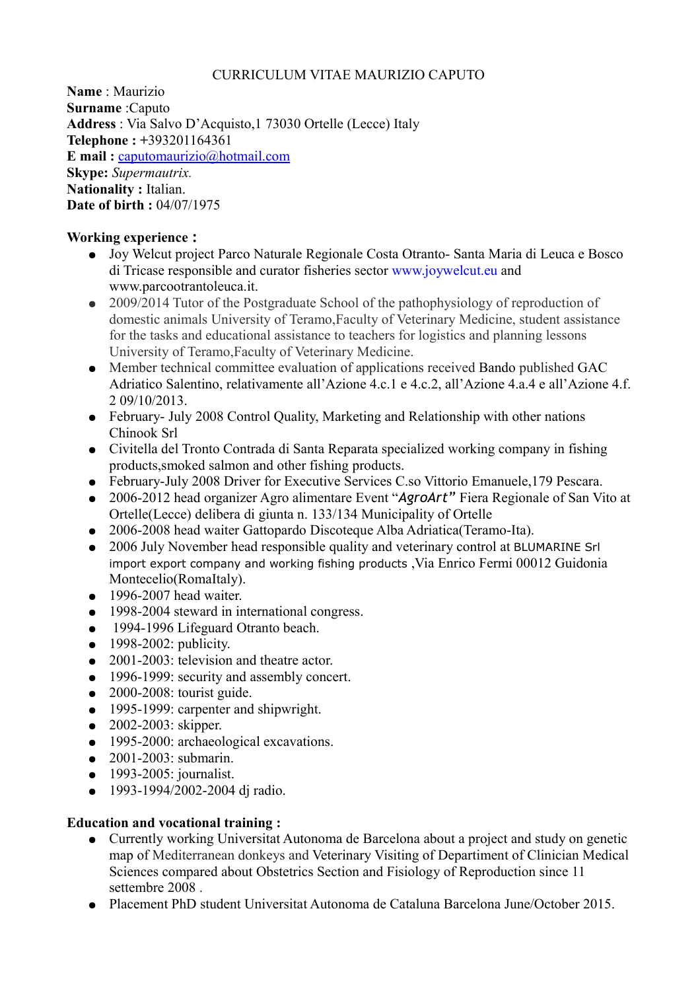### CURRICULUM VITAE MAURIZIO CAPUTO

**Name** : Maurizio **Surname** :Caputo **Address** : Via Salvo D'Acquisto,1 73030 Ortelle (Lecce) Italy **Telephone : +**393201164361 **E mail :** [caputomaurizio@hotmail.com](mailto:caputomaurizio@hotmail.com) **Skype:** *Supermautrix.* **Nationality :** Italian. **Date of birth :** 04/07/1975

### **Working experience :**

- Joy Welcut project Parco Naturale Regionale Costa Otranto- Santa Maria di Leuca e Bosco di Tricase responsible and curator fisheries sector www.joywelcut.eu and www.parcootrantoleuca.it.
- 2009/2014 Tutor of the Postgraduate School of the pathophysiology of reproduction of domestic animals University of Teramo,Faculty of Veterinary Medicine, student assistance for the tasks and educational assistance to teachers for logistics and planning lessons University of Teramo,Faculty of Veterinary Medicine.
- Member technical committee evaluation of applications received Bando published GAC Adriatico Salentino, relativamente all'Azione 4.c.1 e 4.c.2, all'Azione 4.a.4 e all'Azione 4.f. 2 09/10/2013.
- February- July 2008 Control Quality, Marketing and Relationship with other nations Chinook Srl
- Civitella del Tronto Contrada di Santa Reparata specialized working company in fishing products,smoked salmon and other fishing products.
- February-July 2008 Driver for Executive Services C.so Vittorio Emanuele,179 Pescara.
- 2006-2012 head organizer Agro alimentare Event "*AgroArt"* Fiera Regionale of San Vito at Ortelle(Lecce) delibera di giunta n. 133/134 Municipality of Ortelle
- 2006-2008 head waiter Gattopardo Discoteque Alba Adriatica(Teramo-Ita).
- 2006 July November head responsible quality and veterinary control at BLUMARINE Srl import export company and working fishing products ,Via Enrico Fermi 00012 Guidonia Montecelio(RomaItaly).
- $\bullet$  1996-2007 head waiter.
- 1998-2004 steward in international congress.
- 1994-1996 Lifeguard Otranto beach.
- $\bullet$  1998-2002: publicity.
- 2001-2003: television and theatre actor.
- 1996-1999: security and assembly concert.
- $\bullet$  2000-2008: tourist guide.
- 1995-1999: carpenter and shipwright.
- 2002-2003: skipper.
- 1995-2000: archaeological excavations.
- 2001-2003: submarin.
- 1993-2005: journalist.
- 1993-1994/2002-2004 dj radio.

### **Education and vocational training :**

- Currently working Universitat Autonoma de Barcelona about a project and study on genetic map of Mediterranean donkeys and Veterinary Visiting of Departiment of Clinician Medical Sciences compared about Obstetrics Section and Fisiology of Reproduction since 11 settembre 2008 .
- Placement PhD student Universitat Autonoma de Cataluna Barcelona June/October 2015.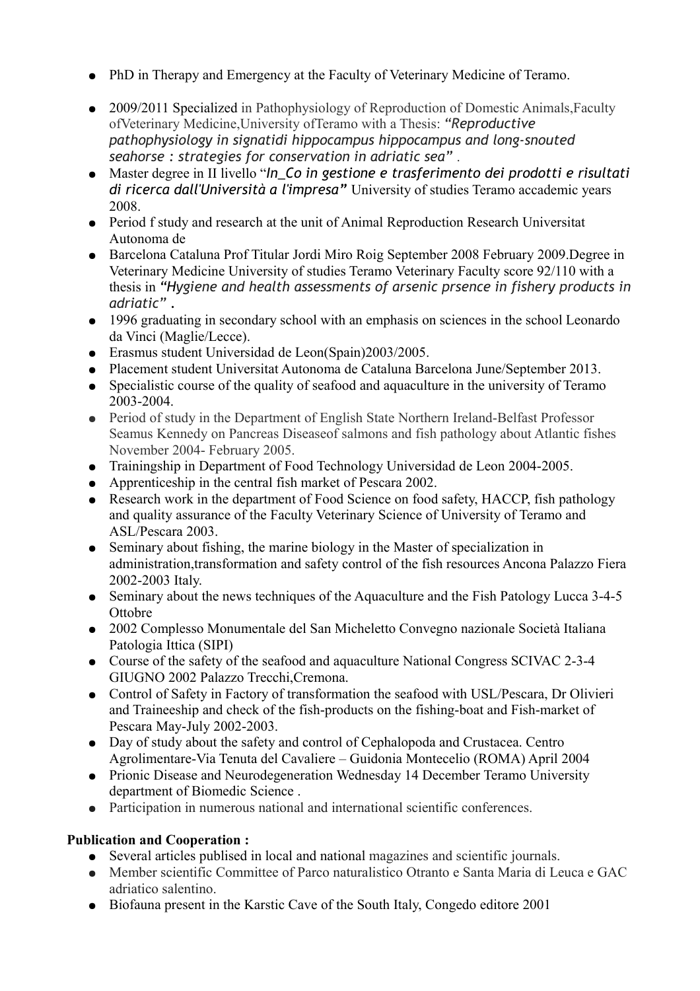- PhD in Therapy and Emergency at the Faculty of Veterinary Medicine of Teramo.
- 2009/2011 Specialized in Pathophysiology of Reproduction of Domestic Animals, Faculty ofVeterinary Medicine,University ofTeramo with a Thesis: *"Reproductive pathophysiology in signatidi hippocampus hippocampus and long-snouted seahorse : strategies for conservation in adriatic sea"* .
- Master degree in II livello "*In\_Co in gestione e trasferimento dei prodotti e risultati di ricerca dall'Università a l'impresa"* University of studies Teramo accademic years 2008.
- Period f study and research at the unit of Animal Reproduction Research Universitat Autonoma de
- Barcelona Cataluna Prof Titular Jordi Miro Roig September 2008 February 2009.Degree in Veterinary Medicine University of studies Teramo Veterinary Faculty score 92/110 with a thesis in *"Hygiene and health assessments of arsenic prsence in fishery products in adriatic" .*
- 1996 graduating in secondary school with an emphasis on sciences in the school Leonardo da Vinci (Maglie/Lecce).
- Erasmus student Universidad de Leon(Spain)2003/2005.
- Placement student Universitat Autonoma de Cataluna Barcelona June/September 2013.
- Specialistic course of the quality of seafood and aquaculture in the university of Teramo 2003-2004.
- Period of study in the Department of English State Northern Ireland-Belfast Professor Seamus Kennedy on Pancreas Diseaseof salmons and fish pathology about Atlantic fishes November 2004- February 2005.
- Trainingship in Department of Food Technology Universidad de Leon 2004-2005.
- Apprenticeship in the central fish market of Pescara 2002.
- Research work in the department of Food Science on food safety, HACCP, fish pathology and quality assurance of the Faculty Veterinary Science of University of Teramo and ASL/Pescara 2003.
- Seminary about fishing, the marine biology in the Master of specialization in administration,transformation and safety control of the fish resources Ancona Palazzo Fiera 2002-2003 Italy.
- Seminary about the news techniques of the Aquaculture and the Fish Patology Lucca 3-4-5 **Ottobre**
- 2002 Complesso Monumentale del San Micheletto Convegno nazionale Società Italiana Patologia Ittica (SIPI)
- Course of the safety of the seafood and aquaculture National Congress SCIVAC 2-3-4 GIUGNO 2002 Palazzo Trecchi,Cremona.
- Control of Safety in Factory of transformation the seafood with USL/Pescara, Dr Olivieri and Traineeship and check of the fish-products on the fishing-boat and Fish-market of Pescara May-July 2002-2003.
- Day of study about the safety and control of Cephalopoda and Crustacea. Centro Agrolimentare-Via Tenuta del Cavaliere – Guidonia Montecelio (ROMA) April 2004
- Prionic Disease and Neurodegeneration Wednesday 14 December Teramo University department of Biomedic Science .
- Participation in numerous national and international scientific conferences.

# **Publication and Cooperation :**

- Several articles publised in local and national magazines and scientific journals.
- Member scientific Committee of Parco naturalistico Otranto e Santa Maria di Leuca e GAC adriatico salentino.
- Biofauna present in the Karstic Cave of the South Italy, Congedo editore 2001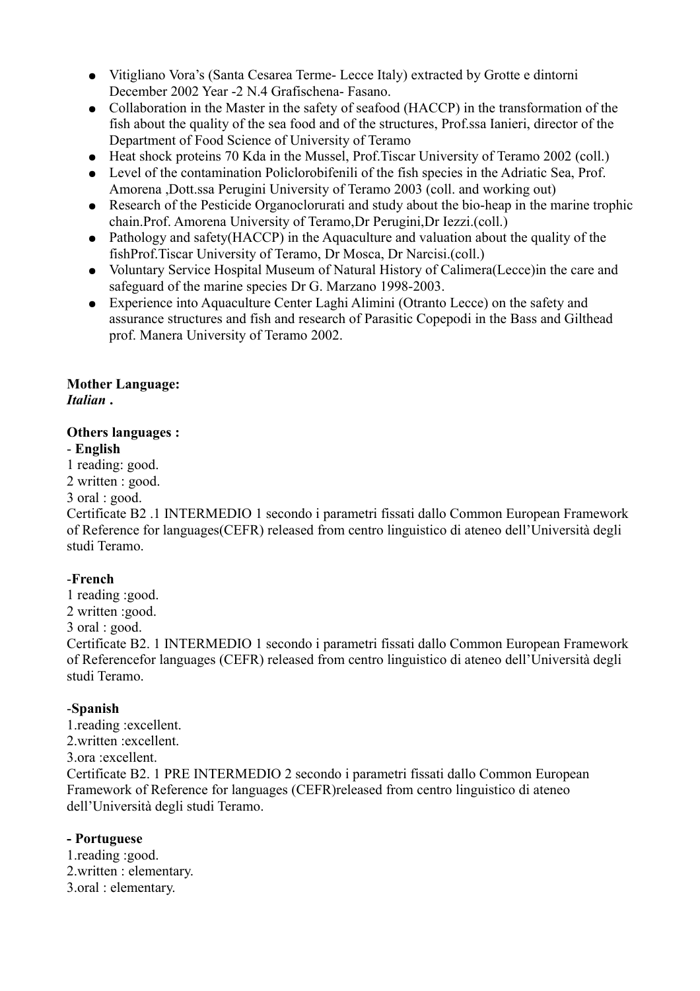- Vitigliano Vora's (Santa Cesarea Terme- Lecce Italy) extracted by Grotte e dintorni December 2002 Year -2 N.4 Grafischena- Fasano.
- Collaboration in the Master in the safety of seafood (HACCP) in the transformation of the fish about the quality of the sea food and of the structures, Prof.ssa Ianieri, director of the Department of Food Science of University of Teramo
- Heat shock proteins 70 Kda in the Mussel, Prof. Tiscar University of Teramo 2002 (coll.)
- Level of the contamination Policlorobifenili of the fish species in the Adriatic Sea, Prof. Amorena ,Dott.ssa Perugini University of Teramo 2003 (coll. and working out)
- Research of the Pesticide Organoclorurati and study about the bio-heap in the marine trophic chain.Prof. Amorena University of Teramo,Dr Perugini,Dr Iezzi.(coll.)
- Pathology and safety (HACCP) in the Aquaculture and valuation about the quality of the fishProf.Tiscar University of Teramo, Dr Mosca, Dr Narcisi.(coll.)
- Voluntary Service Hospital Museum of Natural History of Calimera(Lecce)in the care and safeguard of the marine species Dr G. Marzano 1998-2003.
- Experience into Aquaculture Center Laghi Alimini (Otranto Lecce) on the safety and assurance structures and fish and research of Parasitic Copepodi in the Bass and Gilthead prof. Manera University of Teramo 2002.

### **Mother Language:** *Italian* **.**

## **Others languages :**

## - **English**

1 reading: good.

2 written : good.

#### 3 oral : good.

Certificate B2 .1 INTERMEDIO 1 secondo i parametri fissati dallo Common European Framework of Reference for languages(CEFR) released from centro linguistico di ateneo dell'Università degli studi Teramo.

## -**French**

1 reading :good. 2 written :good.  $3 \text{ oral} \cdot \text{good}$ Certificate B2. 1 INTERMEDIO 1 secondo i parametri fissati dallo Common European Framework of Referencefor languages (CEFR) released from centro linguistico di ateneo dell'Università degli studi Teramo.

## -**Spanish**

1.reading :excellent. 2.written :excellent. 3.ora :excellent. Certificate B2. 1 PRE INTERMEDIO 2 secondo i parametri fissati dallo Common European Framework of Reference for languages (CEFR)released from centro linguistico di ateneo dell'Università degli studi Teramo.

### **- Portuguese**

1.reading :good. 2.written : elementary. 3.oral : elementary.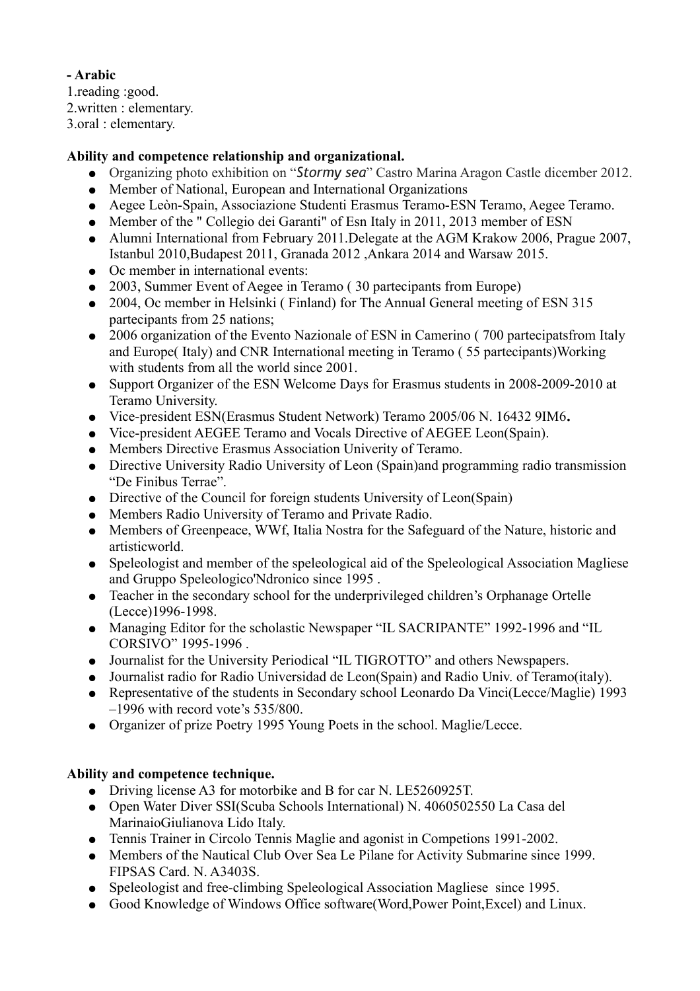**- Arabic**

1.reading :good.

2.written : elementary.

3.oral : elementary.

## **Ability and competence relationship and organizational.**

- Organizing photo exhibition on "*Stormy sea*" Castro Marina Aragon Castle dicember 2012.
- Member of National, European and International Organizations
- Aegee Leòn-Spain, Associazione Studenti Erasmus Teramo-ESN Teramo, Aegee Teramo.
- Member of the " Collegio dei Garanti" of Esn Italy in 2011, 2013 member of ESN
- Alumni International from February 2011. Delegate at the AGM Krakow 2006, Prague 2007, Istanbul 2010,Budapest 2011, Granada 2012 ,Ankara 2014 and Warsaw 2015.
- Oc member in international events:
- 2003, Summer Event of Aegee in Teramo ( 30 partecipants from Europe)
- 2004, Oc member in Helsinki (Finland) for The Annual General meeting of ESN 315 partecipants from 25 nations;
- 2006 organization of the Evento Nazionale of ESN in Camerino (700 partecipatsfrom Italy and Europe( Italy) and CNR International meeting in Teramo ( 55 partecipants)Working with students from all the world since 2001.
- Support Organizer of the ESN Welcome Days for Erasmus students in 2008-2009-2010 at Teramo University.
- Vice-president ESN(Erasmus Student Network) Teramo 2005/06 N. 16432 9IM6**.**
- Vice-president AEGEE Teramo and Vocals Directive of AEGEE Leon(Spain).
- Members Directive Erasmus Association Univerity of Teramo.
- Directive University Radio University of Leon (Spain)and programming radio transmission "De Finibus Terrae".
- Directive of the Council for foreign students University of Leon(Spain)
- Members Radio University of Teramo and Private Radio.
- Members of Greenpeace, WWf, Italia Nostra for the Safeguard of the Nature, historic and artisticworld.
- Speleologist and member of the speleological aid of the Speleological Association Magliese and Gruppo Speleologico'Ndronico since 1995 .
- Teacher in the secondary school for the underprivileged children's Orphanage Ortelle (Lecce)1996-1998.
- Managing Editor for the scholastic Newspaper "IL SACRIPANTE" 1992-1996 and "IL CORSIVO" 1995-1996 .
- Journalist for the University Periodical "IL TIGROTTO" and others Newspapers.
- Journalist radio for Radio Universidad de Leon(Spain) and Radio Univ. of Teramo(italy).
- Representative of the students in Secondary school Leonardo Da Vinci(Lecce/Maglie) 1993 –1996 with record vote's 535/800.
- Organizer of prize Poetry 1995 Young Poets in the school. Maglie/Lecce.

## **Ability and competence technique.**

- Driving license A3 for motorbike and B for car N. LE5260925T.
- Open Water Diver SSI(Scuba Schools International) N. 4060502550 La Casa del MarinaioGiulianova Lido Italy.
- Tennis Trainer in Circolo Tennis Maglie and agonist in Competions 1991-2002.
- Members of the Nautical Club Over Sea Le Pilane for Activity Submarine since 1999. FIPSAS Card. N. A3403S.
- Speleologist and free-climbing Speleological Association Magliese since 1995.
- Good Knowledge of Windows Office software(Word,Power Point,Excel) and Linux.